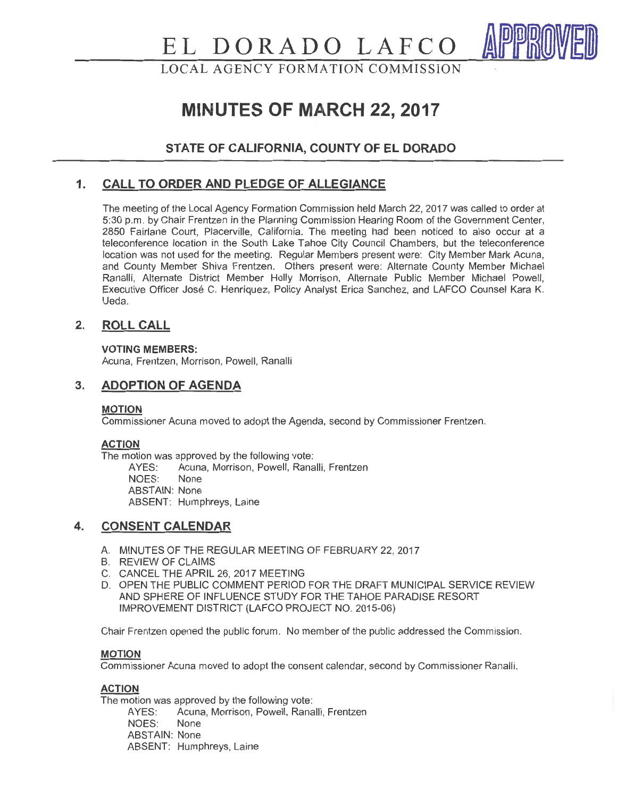# **EL DORADO LAFCO**

LOCAL AGENCY FORMATION COMMISSION

# **MINUTES OF MARCH 22, 2017**

# **STATE OF CALIFORNIA, COUNTY OF EL DORADO**

# **1. CALL TO ORDER AND PLEDGE OF ALLEGIANCE**

The meeting of the Local Agency Formation Commission held March 22, 2017 was called to order at 5:30 p.m. by Chair Frentzen in the Planning Commission Hearing Room of the Government Center, 2850 Fairlane Court, Placerville, California. The meeting had been noticed to also occur at a teleconference location in the South Lake Tahoe City Council Chambers, but the teleconference location was not used for the meeting. Regular Members present were: City Member Mark Acuna, and County Member Shiva Frentzen. Others present were: Alternate County Member Michael Ranalli, Alternate District Member Holly Morrison, Alternate Public Member Michael Powell, Executive Officer Jose C. Henriquez, Policy Analyst Erica Sanchez, and LAFCO Counsel Kara K. Ueda.

# **2. ROLL CALL**

**VOTING MEMBERS:** 

Acuna, Frentzen, Morrison, Powell, Ranalli

# **3. ADOPTION OF AGENDA**

#### **MOTION**

Commissioner Acuna moved to adopt the Agenda, second by Commissioner Frentzen.

#### **ACTION**

The motion was approved by the following vote:<br>AYES: Acuna, Morrison, Powell, Rana

Acuna, Morrison, Powell, Ranalli, Frentzen NOES: None ABSTAIN: None ABSENT: Humphreys, Laine

# **4. CONSENT CALENDAR**

- A. MINUTES OF THE REGULAR MEETING OF FEBRUARY 22, 2017
- B. REVIEW OF CLAIMS
- C. CANCEL THE APRIL 26, 2017 MEETING
- D. OPEN THE PUBLIC COMMENT PERIOD FOR THE DRAFT MUNICIPAL SERVICE REVIEW AND SPHERE OF INFLUENCE STUDY FOR THE TAHOE PARADISE RESORT IMPROVEMENT DISTRICT (LAFCO PROJECT NO. 2015-06)

Chair Frentzen opened the public forum. No member of the public addressed the Commission.

#### **MOTION**

Commissioner Acuna moved to adopt the consent calendar, second by Commissioner Ranalli.

#### **ACTION**

The motion was approved by the following vote:

AYES: Acuna, Morrison, Powell, Ranalli, Frentzen NOES: None ABSTAIN: None ABSENT: Humphreys, Laine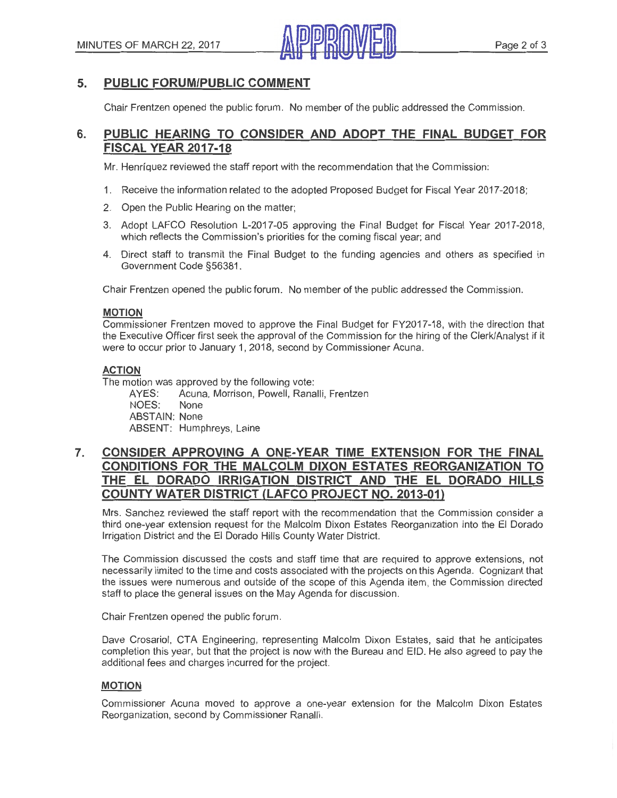

# **5. PUBLIC FORUM/PUBLIC COMMENT**

Chair Frentzen opened the public forum . No member of the public addressed the Commission.

# **6. PUBLIC HEARING TO CONSIDER AND ADOPT THE FINAL BUDGET FOR FISCAL YEAR 2017-18**

Mr. Henriquez reviewed the staff report with the recommendation that the Commission:

- 1. Receive the information related to the adopted Proposed Budget for Fiscal Year 2017-2018;
- 2. Open the Public Hearing on the matter;
- 3. Adopt LAFCO Resolution L-2017-05 approving the Final Budget for Fiscal Year 2017-2018, which reflects the Commission's priorities for the coming fiscal year; and
- 4. Direct staff to transmit the Final Budget to the funding agencies and others as specified in Government Code §56381.

Chair Frentzen opened the public forum. No member of the public addressed the Commission.

#### **MOTION**

Commissioner Frentzen moved to approve the Final Budget for FY2017-18, with the direction that the Executive Officer first seek the approval of the Commission for the hiring of the Clerk/Analyst if it were to occur prior to January 1, 2018, second by Commissioner Acuna.

#### **ACTION**

The motion was approved by the following vote:

AYES: Acuna, Morrison, Powell, Ranalli, Frentzen NOES: None ABSTAIN: None ABSENT: Humphreys, Laine

# **7. CONSIDER APPROVING A ONE-YEAR TIME EXTENSION FOR THE FINAL CONDITIONS FOR THE MALCOLM DIXON ESTATES REORGANIZATION TO THE EL DORADO IRRIGATION DISTRICT AND THE EL DORADO HILLS COUNTY WATER DISTRICT (LAFCO PROJECT NO. 2013-01)**

Mrs. Sanchez reviewed the staff report with the recommendation that the Commission consider a third one-year extension request for the Malcolm Dixon Estates Reorganization into the El Dorado Irrigation District and the El Dorado Hills County Water District.

The Commission discussed the costs and staff time that are required to approve extensions, not necessarily limited to the time and costs associated with the projects on this Agenda. Cognizant that the issues were numerous and outside of the scope of this Agenda item, the Commission directed staff to place the general issues on the May Agenda for discussion.

Chair Frentzen opened the public forum.

Dave Crosariol, CTA Engineering, representing Malcolm Dixon Estates, said that he anticipates completion this year, but that the project is now with the Bureau and EID. He also agreed to pay the additional fees and charges incurred for the project.

#### **MOTION**

Commissioner Acuna moved to approve a one-year extension for the Malcolm Dixon Estates Reorganization, second by Commissioner Ranalli.